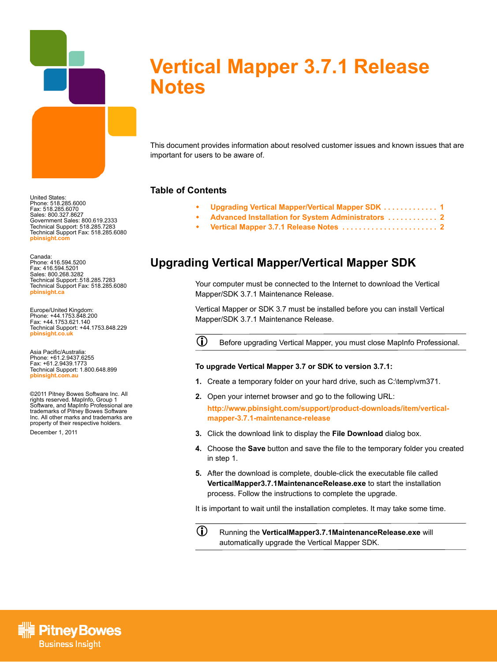

# **Vertical Mapper 3.7.1 Release Notes**

This document provides information about resolved customer issues and known issues that are important for users to be aware of.

#### **Table of Contents**

- **[Upgrading Vertical Mapper/Vertical Mapper SDK . . . . . . . . . . . . . 1](#page-0-0)**
- **[Advanced Installation for System Administrators . . . . . . . . . . . . 2](#page-1-0)**
- **[Vertical Mapper 3.7.1 Release Notes . . . . . . . . . . . . . . . . . . . . . . . 2](#page-1-1)**

## <span id="page-0-0"></span>**Upgrading Vertical Mapper/Vertical Mapper SDK**

Your computer must be connected to the Internet to download the Vertical Mapper/SDK 3.7.1 Maintenance Release.

Vertical Mapper or SDK 3.7 must be installed before you can install Vertical Mapper/SDK 3.7.1 Maintenance Release.

L Before upgrading Vertical Mapper, you must close MapInfo Professional.

#### **To upgrade Vertical Mapper 3.7 or SDK to version 3.7.1:**

- **1.** Create a temporary folder on your hard drive, such as C:\temp\vm371.
- **2.** Open your internet browser and go to the following URL: **[http://www.pbinsight.com/support/product-downloads/item/vertical](http://www.pbinsight.com/support/product-downloads/item/vertical-mapper-v3.7.1-maintenance-release)mapper-3.7.1-maintenance-release**
- **3.** Click the download link to display the **File Download** dialog box.
- **4.** Choose the **Save** button and save the file to the temporary folder you created in step 1.
- **5.** After the download is complete, double-click the executable file called **VerticalMapper3.7.1MaintenanceRelease.exe** to start the installation process. Follow the instructions to complete the upgrade.

It is important to wait until the installation completes. It may take some time.

L Running the **VerticalMapper3.7.1MaintenanceRelease.exe** will automatically upgrade the Vertical Mapper SDK.

United States: Phone: 518.285.6000 Fax: 518.285.6070 Sales: 800.327.8627 Government Sales: 800.619.2333 Technical Support: 518.285.7283 Technical Support Fax: 518.285.6080 **[pbinsight.com](http://www.pbinsight.com)**

Canada: Phone: 416.594.5200 Fax: 416.594.5201 Sales: 800.268.3282 Technical Support:.518.285.7283 Technical Support Fax: 518.285.6080 **[pbinsight.ca](http://www.pbinsight.ca)**

Europe/United Kingdom: Phone: +44.1753.848.200<br>Fax: +44.1753.621.140 Fax: +44.1753.621.140 Technical Support: +44.1753.848.229 **[pbinsight.co.uk](http://www.pbinsight.co.uk)**

Asia Pacific/Australia: Phone: +61.2.9437.6255 Fax: +61.2.9439.1773 Technical Support: 1.800.648.899 **[pbinsight.com.au](http://www.mapinfo.com.au)**

©2011 Pitney Bowes Software Inc. All rights reserved. MapInfo, Group 1 Software, and MapInfo Professional are trademarks of Pitney Bowes Software Inc. All other marks and trademarks are property of their respective holders.

December 1, 2011